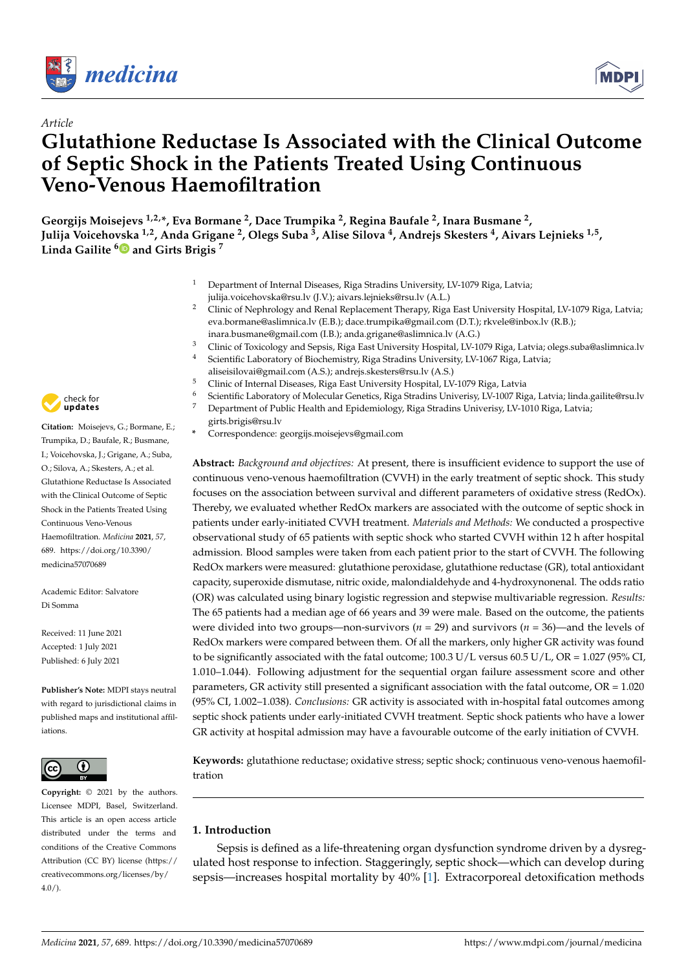

*Article*



# **Glutathione Reductase Is Associated with the Clinical Outcome of Septic Shock in the Patients Treated Using Continuous Veno-Venous Haemofiltration**

**Georgijs Moisejevs 1,2,\*, Eva Bormane <sup>2</sup> , Dace Trumpika <sup>2</sup> , Regina Baufale <sup>2</sup> , Inara Busmane <sup>2</sup> , Julija Voicehovska 1,2, Anda Grigane <sup>2</sup> , Olegs Suba <sup>3</sup> , Alise Silova <sup>4</sup> , Andrejs Skesters <sup>4</sup> , Aivars Lejnieks 1,5 , Linda Gailite [6](https://orcid.org/0000-0002-7219-1294) and Girts Brigis <sup>7</sup>**

- <sup>1</sup> Department of Internal Diseases, Riga Stradins University, LV-1079 Riga, Latvia; julija.voicehovska@rsu.lv (J.V.); aivars.lejnieks@rsu.lv (A.L.)
- <sup>2</sup> Clinic of Nephrology and Renal Replacement Therapy, Riga East University Hospital, LV-1079 Riga, Latvia; eva.bormane@aslimnica.lv (E.B.); dace.trumpika@gmail.com (D.T.); rkvele@inbox.lv (R.B.); inara.busmane@gmail.com (I.B.); anda.grigane@aslimnica.lv (A.G.)
- <sup>3</sup> Clinic of Toxicology and Sepsis, Riga East University Hospital, LV-1079 Riga, Latvia; olegs.suba@aslimnica.lv<br><sup>4</sup> Scientifie Leberstowy of Piechemistwy Riga Stuading University LV-1067 Riga, Latvia;
- <sup>4</sup> Scientific Laboratory of Biochemistry, Riga Stradins University, LV-1067 Riga, Latvia;
	- aliseisilovai@gmail.com (A.S.); andrejs.skesters@rsu.lv (A.S.)
- <sup>5</sup> Clinic of Internal Diseases, Riga East University Hospital, LV-1079 Riga, Latvia
- <sup>6</sup> Scientific Laboratory of Molecular Genetics, Riga Stradins Univerisy, LV-1007 Riga, Latvia; linda.gailite@rsu.lv Department of Public Health and Epidemiology, Riga Stradins Univerisy, LV-1010 Riga, Latvia;
- girts.brigis@rsu.lv
- **\*** Correspondence: georgijs.moisejevs@gmail.com

**Abstract:** *Background and objectives:* At present, there is insufficient evidence to support the use of continuous veno-venous haemofiltration (CVVH) in the early treatment of septic shock. This study focuses on the association between survival and different parameters of oxidative stress (RedOx). Thereby, we evaluated whether RedOx markers are associated with the outcome of septic shock in patients under early-initiated CVVH treatment. *Materials and Methods:* We conducted a prospective observational study of 65 patients with septic shock who started CVVH within 12 h after hospital admission. Blood samples were taken from each patient prior to the start of CVVH. The following RedOx markers were measured: glutathione peroxidase, glutathione reductase (GR), total antioxidant capacity, superoxide dismutase, nitric oxide, malondialdehyde and 4-hydroxynonenal. The odds ratio (OR) was calculated using binary logistic regression and stepwise multivariable regression. *Results:* The 65 patients had a median age of 66 years and 39 were male. Based on the outcome, the patients were divided into two groups—non-survivors (*n* = 29) and survivors (*n* = 36)—and the levels of RedOx markers were compared between them. Of all the markers, only higher GR activity was found to be significantly associated with the fatal outcome; 100.3 U/L versus 60.5 U/L, OR = 1.027 (95% CI, 1.010–1.044). Following adjustment for the sequential organ failure assessment score and other parameters, GR activity still presented a significant association with the fatal outcome, OR = 1.020 (95% CI, 1.002–1.038). *Conclusions:* GR activity is associated with in-hospital fatal outcomes among septic shock patients under early-initiated CVVH treatment. Septic shock patients who have a lower GR activity at hospital admission may have a favourable outcome of the early initiation of CVVH.

**Keywords:** glutathione reductase; oxidative stress; septic shock; continuous veno-venous haemofiltration

# **1. Introduction**

Sepsis is defined as a life-threatening organ dysfunction syndrome driven by a dysregulated host response to infection. Staggeringly, septic shock—which can develop during sepsis—increases hospital mortality by 40% [\[1\]](#page-6-0). Extracorporeal detoxification methods



**Citation:** Moisejevs, G.; Bormane, E.; Trumpika, D.; Baufale, R.; Busmane, I.; Voicehovska, J.; Grigane, A.; Suba, O.; Silova, A.; Skesters, A.; et al. Glutathione Reductase Is Associated with the Clinical Outcome of Septic Shock in the Patients Treated Using Continuous Veno-Venous Haemofiltration. *Medicina* **2021**, *57*, 689. [https://doi.org/10.3390/](https://doi.org/10.3390/medicina57070689) [medicina57070689](https://doi.org/10.3390/medicina57070689)

Academic Editor: Salvatore Di Somma

Received: 11 June 2021 Accepted: 1 July 2021 Published: 6 July 2021

**Publisher's Note:** MDPI stays neutral with regard to jurisdictional claims in published maps and institutional affiliations.



**Copyright:** © 2021 by the authors. Licensee MDPI, Basel, Switzerland. This article is an open access article distributed under the terms and conditions of the Creative Commons Attribution (CC BY) license (https:/[/](https://creativecommons.org/licenses/by/4.0/) [creativecommons.org/licenses/by/](https://creativecommons.org/licenses/by/4.0/)  $4.0/$ ).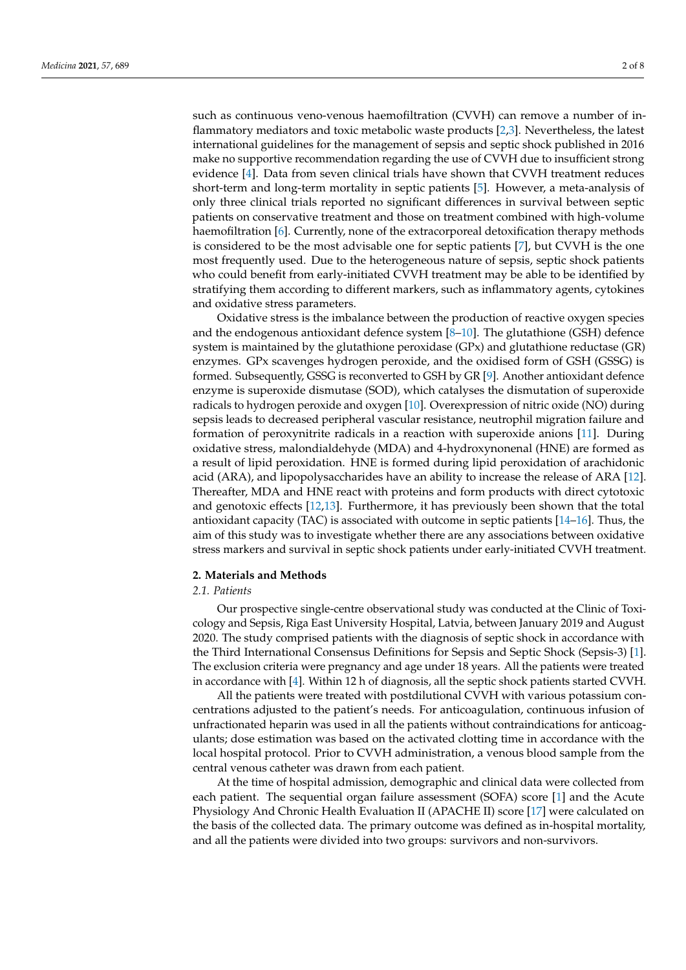such as continuous veno-venous haemofiltration (CVVH) can remove a number of inflammatory mediators and toxic metabolic waste products [\[2,](#page-6-1)[3\]](#page-6-2). Nevertheless, the latest international guidelines for the management of sepsis and septic shock published in 2016 make no supportive recommendation regarding the use of CVVH due to insufficient strong evidence [\[4\]](#page-6-3). Data from seven clinical trials have shown that CVVH treatment reduces short-term and long-term mortality in septic patients [\[5\]](#page-6-4). However, a meta-analysis of only three clinical trials reported no significant differences in survival between septic patients on conservative treatment and those on treatment combined with high-volume haemofiltration [\[6\]](#page-6-5). Currently, none of the extracorporeal detoxification therapy methods is considered to be the most advisable one for septic patients [\[7\]](#page-6-6), but CVVH is the one most frequently used. Due to the heterogeneous nature of sepsis, septic shock patients who could benefit from early-initiated CVVH treatment may be able to be identified by stratifying them according to different markers, such as inflammatory agents, cytokines and oxidative stress parameters.

Oxidative stress is the imbalance between the production of reactive oxygen species and the endogenous antioxidant defence system [\[8](#page-6-7)[–10\]](#page-6-8). The glutathione (GSH) defence system is maintained by the glutathione peroxidase (GPx) and glutathione reductase (GR) enzymes. GPx scavenges hydrogen peroxide, and the oxidised form of GSH (GSSG) is formed. Subsequently, GSSG is reconverted to GSH by GR [\[9\]](#page-6-9). Another antioxidant defence enzyme is superoxide dismutase (SOD), which catalyses the dismutation of superoxide radicals to hydrogen peroxide and oxygen [\[10\]](#page-6-8). Overexpression of nitric oxide (NO) during sepsis leads to decreased peripheral vascular resistance, neutrophil migration failure and formation of peroxynitrite radicals in a reaction with superoxide anions [\[11\]](#page-6-10). During oxidative stress, malondialdehyde (MDA) and 4-hydroxynonenal (HNE) are formed as a result of lipid peroxidation. HNE is formed during lipid peroxidation of arachidonic acid (ARA), and lipopolysaccharides have an ability to increase the release of ARA [\[12\]](#page-6-11). Thereafter, MDA and HNE react with proteins and form products with direct cytotoxic and genotoxic effects [\[12](#page-6-11)[,13\]](#page-6-12). Furthermore, it has previously been shown that the total antioxidant capacity (TAC) is associated with outcome in septic patients [\[14](#page-6-13)[–16\]](#page-6-14). Thus, the aim of this study was to investigate whether there are any associations between oxidative stress markers and survival in septic shock patients under early-initiated CVVH treatment.

## **2. Materials and Methods**

## *2.1. Patients*

Our prospective single-centre observational study was conducted at the Clinic of Toxicology and Sepsis, Riga East University Hospital, Latvia, between January 2019 and August 2020. The study comprised patients with the diagnosis of septic shock in accordance with the Third International Consensus Definitions for Sepsis and Septic Shock (Sepsis-3) [\[1\]](#page-6-0). The exclusion criteria were pregnancy and age under 18 years. All the patients were treated in accordance with [\[4\]](#page-6-3). Within 12 h of diagnosis, all the septic shock patients started CVVH.

All the patients were treated with postdilutional CVVH with various potassium concentrations adjusted to the patient's needs. For anticoagulation, continuous infusion of unfractionated heparin was used in all the patients without contraindications for anticoagulants; dose estimation was based on the activated clotting time in accordance with the local hospital protocol. Prior to CVVH administration, a venous blood sample from the central venous catheter was drawn from each patient.

At the time of hospital admission, demographic and clinical data were collected from each patient. The sequential organ failure assessment (SOFA) score [\[1\]](#page-6-0) and the Acute Physiology And Chronic Health Evaluation II (APACHE II) score [\[17\]](#page-6-15) were calculated on the basis of the collected data. The primary outcome was defined as in-hospital mortality, and all the patients were divided into two groups: survivors and non-survivors.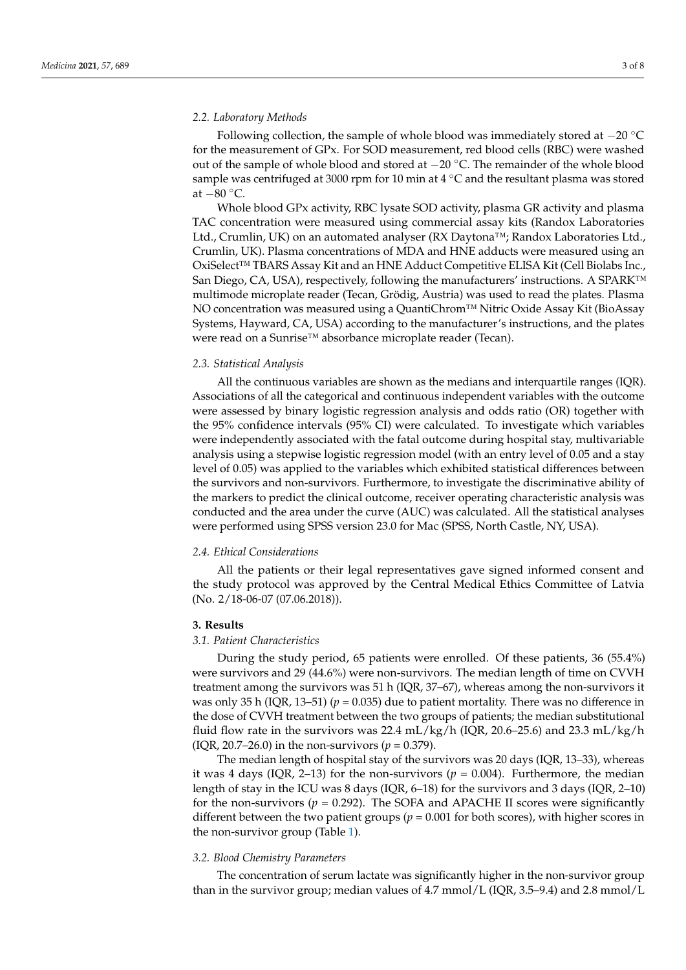# *2.2. Laboratory Methods*

Following collection, the sample of whole blood was immediately stored at −20 ◦C for the measurement of GPx. For SOD measurement, red blood cells (RBC) were washed out of the sample of whole blood and stored at −20 ◦C. The remainder of the whole blood sample was centrifuged at 3000 rpm for 10 min at 4 °C and the resultant plasma was stored at −80 ◦C.

Whole blood GPx activity, RBC lysate SOD activity, plasma GR activity and plasma TAC concentration were measured using commercial assay kits (Randox Laboratories Ltd., Crumlin, UK) on an automated analyser (RX Daytona™; Randox Laboratories Ltd., Crumlin, UK). Plasma concentrations of MDA and HNE adducts were measured using an OxiSelect™ TBARS Assay Kit and an HNE Adduct Competitive ELISA Kit (Cell Biolabs Inc., San Diego, CA, USA), respectively, following the manufacturers' instructions. A SPARK<sup>™</sup> multimode microplate reader (Tecan, Grödig, Austria) was used to read the plates. Plasma NO concentration was measured using a QuantiChrom™ Nitric Oxide Assay Kit (BioAssay Systems, Hayward, CA, USA) according to the manufacturer's instructions, and the plates were read on a Sunrise™ absorbance microplate reader (Tecan).

# *2.3. Statistical Analysis*

All the continuous variables are shown as the medians and interquartile ranges (IQR). Associations of all the categorical and continuous independent variables with the outcome were assessed by binary logistic regression analysis and odds ratio (OR) together with the 95% confidence intervals (95% CI) were calculated. To investigate which variables were independently associated with the fatal outcome during hospital stay, multivariable analysis using a stepwise logistic regression model (with an entry level of 0.05 and a stay level of 0.05) was applied to the variables which exhibited statistical differences between the survivors and non-survivors. Furthermore, to investigate the discriminative ability of the markers to predict the clinical outcome, receiver operating characteristic analysis was conducted and the area under the curve (AUC) was calculated. All the statistical analyses were performed using SPSS version 23.0 for Mac (SPSS, North Castle, NY, USA).

## *2.4. Ethical Considerations*

All the patients or their legal representatives gave signed informed consent and the study protocol was approved by the Central Medical Ethics Committee of Latvia (No. 2/18-06-07 (07.06.2018)).

# **3. Results**

#### *3.1. Patient Characteristics*

During the study period, 65 patients were enrolled. Of these patients, 36 (55.4%) were survivors and 29 (44.6%) were non-survivors. The median length of time on CVVH treatment among the survivors was 51 h (IQR, 37–67), whereas among the non-survivors it was only 35 h (IQR, 13–51) ( $p = 0.035$ ) due to patient mortality. There was no difference in the dose of CVVH treatment between the two groups of patients; the median substitutional fluid flow rate in the survivors was 22.4  $mL/kg/h$  (IQR, 20.6–25.6) and 23.3  $mL/kg/h$ (IQR, 20.7–26.0) in the non-survivors ( $p = 0.379$ ).

The median length of hospital stay of the survivors was 20 days (IQR, 13–33), whereas it was 4 days (IQR, 2–13) for the non-survivors ( $p = 0.004$ ). Furthermore, the median length of stay in the ICU was 8 days (IQR, 6–18) for the survivors and 3 days (IQR, 2–10) for the non-survivors ( $p = 0.292$ ). The SOFA and APACHE II scores were significantly different between the two patient groups (*p* = 0.001 for both scores), with higher scores in the non-survivor group (Table [1\)](#page-3-0).

#### *3.2. Blood Chemistry Parameters*

The concentration of serum lactate was significantly higher in the non-survivor group than in the survivor group; median values of 4.7 mmol/L (IQR, 3.5–9.4) and 2.8 mmol/L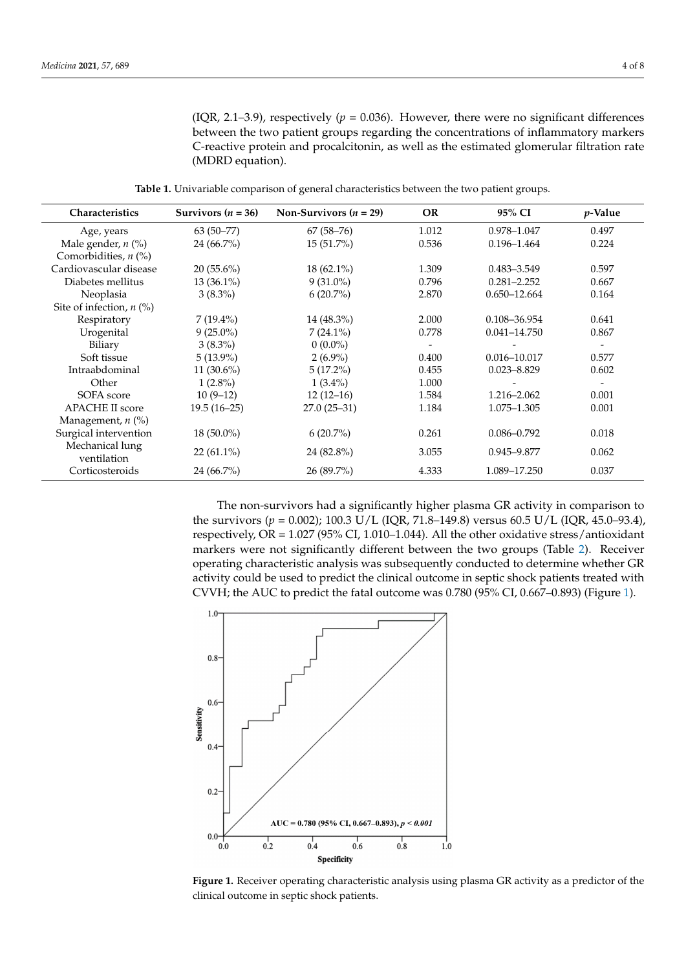(IQR, 2.1–3.9), respectively ( $p = 0.036$ ). However, there were no significant differences between the two patient groups regarding the concentrations of inflammatory markers C-reactive protein and procalcitonin, as well as the estimated glomerular filtration rate (MDRD equation).

**Table 1.** Univariable comparison of general characteristics between the two patient groups.

<span id="page-3-0"></span>

| <b>Characteristics</b>         | Survivors $(n = 36)$ | Non-Survivors ( $n = 29$ ) | <b>OR</b> | 95% CI           | <i>p</i> -Value          |
|--------------------------------|----------------------|----------------------------|-----------|------------------|--------------------------|
| Age, years                     | $63(50-77)$          | $67(58-76)$                | 1.012     | 0.978-1.047      | 0.497                    |
| Male gender, $n$ (%)           | $24(66.7\%)$         | $15(51.7\%)$               | 0.536     | $0.196 - 1.464$  | 0.224                    |
| Comorbidities, $n$ (%)         |                      |                            |           |                  |                          |
| Cardiovascular disease         | $20(55.6\%)$         | $18(62.1\%)$               | 1.309     | $0.483 - 3.549$  | 0.597                    |
| Diabetes mellitus              | $13(36.1\%)$         | $9(31.0\%)$                | 0.796     | $0.281 - 2.252$  | 0.667                    |
| Neoplasia                      | $3(8.3\%)$           | $6(20.7\%)$                | 2.870     | $0.650 - 12.664$ | 0.164                    |
| Site of infection, $n$ (%)     |                      |                            |           |                  |                          |
| Respiratory                    | $7(19.4\%)$          | 14 (48.3%)                 | 2.000     | 0.108-36.954     | 0.641                    |
| Urogenital                     | $9(25.0\%)$          | $7(24.1\%)$                | 0.778     | $0.041 - 14.750$ | 0.867                    |
| Biliary                        | $3(8.3\%)$           | $0(0.0\%)$                 |           |                  | $\overline{\phantom{a}}$ |
| Soft tissue                    | $5(13.9\%)$          | $2(6.9\%)$                 | 0.400     | $0.016 - 10.017$ | 0.577                    |
| Intraabdominal                 | 11 $(30.6\%)$        | $5(17.2\%)$                | 0.455     | $0.023 - 8.829$  | 0.602                    |
| Other                          | $1(2.8\%)$           | $1(3.4\%)$                 | 1.000     |                  | $\overline{\phantom{a}}$ |
| SOFA score                     | $10(9-12)$           | $12(12-16)$                | 1.584     | 1.216-2.062      | 0.001                    |
| <b>APACHE II score</b>         | $19.5(16-25)$        | $27.0(25-31)$              | 1.184     | 1.075-1.305      | 0.001                    |
| Management, $n$ $(\%)$         |                      |                            |           |                  |                          |
| Surgical intervention          | $18(50.0\%)$         | $6(20.7\%)$                | 0.261     | $0.086 - 0.792$  | 0.018                    |
| Mechanical lung<br>ventilation | $22(61.1\%)$         | 24 (82.8%)                 | 3.055     | 0.945-9.877      | 0.062                    |
| Corticosteroids                | $24(66.7\%)$         | $26(89.7\%)$               | 4.333     | 1.089-17.250     | 0.037                    |

The non-survivors had a significantly higher plasma GR activity in comparison to the survivors (*p* = 0.002); 100.3 U/L (IQR, 71.8–149.8) versus 60.5 U/L (IQR, 45.0–93.4), respectively, OR =  $1.027$  (95% CI, 1.010–1.044). All the other oxidative stress/antioxidant markers were not significantly different between the two groups (Table [2\)](#page-4-0). Receiver operating characteristic analysis was subsequently conducted to determine whether GR activity could be used to predict the clinical outcome in septic shock patients treated with CVVH; the AUC to predict the fatal outcome was 0.780 (95% CI, 0.667–0.893) (Figure [1\)](#page-3-1).

<span id="page-3-1"></span>

**Figure 1.** Receiver operating characteristic analysis using plasma GR activity as a predictor of the **Figure 1.** Receiver operating characteristic analysis using plasma GR activity as a predictor of the clinical outcome in septic shock patients. clinical outcome in septic shock patients.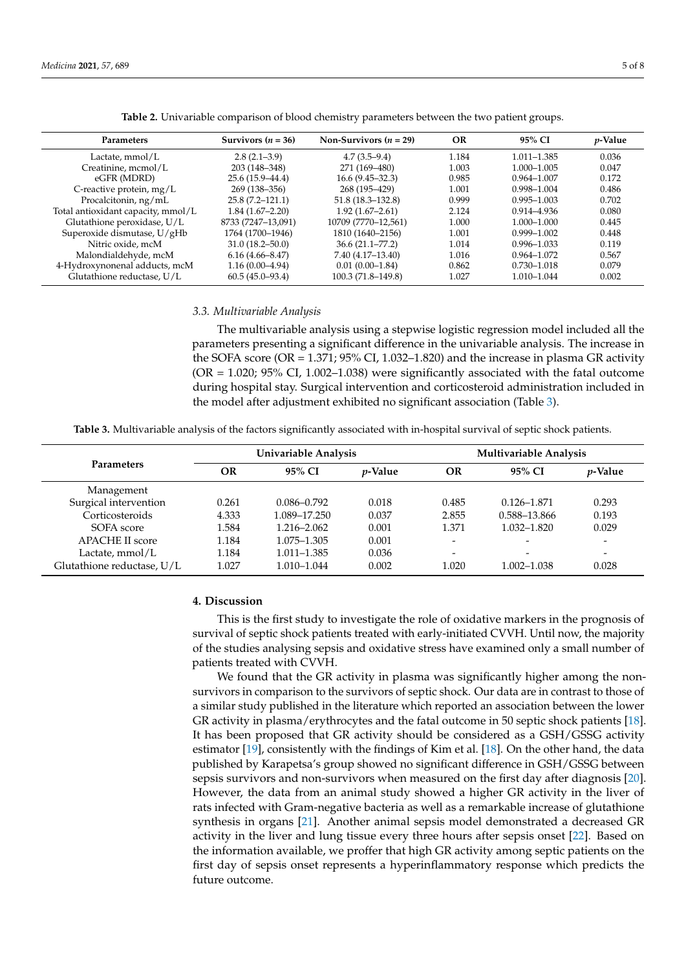<span id="page-4-0"></span>

| <b>Parameters</b>                  | Survivors $(n = 36)$ | Non-Survivors $(n = 29)$ | OR    | 95% CI          | <i>p</i> -Value |
|------------------------------------|----------------------|--------------------------|-------|-----------------|-----------------|
| Lactate, mmol/L                    | $2.8(2.1-3.9)$       | $4.7(3.5-9.4)$           | 1.184 | 1.011-1.385     | 0.036           |
| Creatinine, mcmol/L                | 203 (148-348)        | 271 (169-480)            | 1.003 | 1.000-1.005     | 0.047           |
| eGFR (MDRD)                        | $25.6(15.9 - 44.4)$  | $16.6(9.45 - 32.3)$      | 0.985 | $0.964 - 1.007$ | 0.172           |
| C-reactive protein, $mg/L$         | 269 (138–356)        | 268 (195–429)            | 1.001 | 0.998-1.004     | 0.486           |
| Procalcitonin, ng/mL               | $25.8(7.2 - 121.1)$  | $51.8(18.3 - 132.8)$     | 0.999 | $0.995 - 1.003$ | 0.702           |
| Total antioxidant capacity, mmol/L | $1.84(1.67-2.20)$    | $1.92(1.67-2.61)$        | 2.124 | 0.914-4.936     | 0.080           |
| Glutathione peroxidase, U/L        | 8733 (7247-13,091)   | 10709 (7770-12,561)      | 1.000 | 1.000-1.000     | 0.445           |
| Superoxide dismutase, U/gHb        | 1764 (1700-1946)     | 1810 (1640–2156)         | 1.001 | $0.999 - 1.002$ | 0.448           |
| Nitric oxide, mcM                  | $31.0(18.2 - 50.0)$  | $36.6(21.1 - 77.2)$      | 1.014 | $0.996 - 1.033$ | 0.119           |
| Malondialdehyde, mcM               | $6.16(4.66 - 8.47)$  | $7.40(4.17-13.40)$       | 1.016 | $0.964 - 1.072$ | 0.567           |
| 4-Hydroxynonenal adducts, mcM      | $1.16(0.00-4.94)$    | $0.01(0.00-1.84)$        | 0.862 | 0.730-1.018     | 0.079           |
| Glutathione reductase, U/L         | $60.5(45.0-93.4)$    | $100.3(71.8-149.8)$      | 1.027 | 1.010-1.044     | 0.002           |

**Table 2.** Univariable comparison of blood chemistry parameters between the two patient groups.

#### *3.3. Multivariable Analysis*

The multivariable analysis using a stepwise logistic regression model included all the parameters presenting a significant difference in the univariable analysis. The increase in the SOFA score (OR =  $1.371$ ;  $95\%$  CI,  $1.032-1.820$ ) and the increase in plasma GR activity  $(OR = 1.020; 95\% CI, 1.002–1.038)$  were significantly associated with the fatal outcome during hospital stay. Surgical intervention and corticosteroid administration included in the model after adjustment exhibited no significant association (Table [3\)](#page-4-1).

**Table 3.** Multivariable analysis of the factors significantly associated with in-hospital survival of septic shock patients.

<span id="page-4-1"></span>

|                            | Univariable Analysis |                 |                 | Multivariable Analysis   |                          |                 |
|----------------------------|----------------------|-----------------|-----------------|--------------------------|--------------------------|-----------------|
| <b>Parameters</b>          | OR                   | 95% CI          | <i>p</i> -Value | OR                       | 95% CI                   | <i>p</i> -Value |
| Management                 |                      |                 |                 |                          |                          |                 |
| Surgical intervention      | 0.261                | $0.086 - 0.792$ | 0.018           | 0.485                    | $0.126 - 1.871$          | 0.293           |
| Corticosteroids            | 4.333                | 1.089-17.250    | 0.037           | 2.855                    | 0.588-13.866             | 0.193           |
| SOFA score                 | 1.584                | 1.216-2.062     | 0.001           | 1.371                    | 1.032–1.820              | 0.029           |
| <b>APACHE II score</b>     | 1.184                | 1.075–1.305     | 0.001           |                          | $\overline{\phantom{0}}$ |                 |
| Lactate, $mmol/L$          | 1.184                | 1.011–1.385     | 0.036           | $\overline{\phantom{0}}$ | -                        |                 |
| Glutathione reductase, U/L | 1.027                | 1.010-1.044     | 0.002           | 1.020                    | 1.002-1.038              | 0.028           |

#### **4. Discussion**

This is the first study to investigate the role of oxidative markers in the prognosis of survival of septic shock patients treated with early-initiated CVVH. Until now, the majority of the studies analysing sepsis and oxidative stress have examined only a small number of patients treated with CVVH.

We found that the GR activity in plasma was significantly higher among the nonsurvivors in comparison to the survivors of septic shock. Our data are in contrast to those of a similar study published in the literature which reported an association between the lower GR activity in plasma/erythrocytes and the fatal outcome in 50 septic shock patients [\[18\]](#page-7-0). It has been proposed that GR activity should be considered as a GSH/GSSG activity estimator [\[19\]](#page-7-1), consistently with the findings of Kim et al. [\[18\]](#page-7-0). On the other hand, the data published by Karapetsa's group showed no significant difference in GSH/GSSG between sepsis survivors and non-survivors when measured on the first day after diagnosis [\[20\]](#page-7-2). However, the data from an animal study showed a higher GR activity in the liver of rats infected with Gram-negative bacteria as well as a remarkable increase of glutathione synthesis in organs [\[21\]](#page-7-3). Another animal sepsis model demonstrated a decreased GR activity in the liver and lung tissue every three hours after sepsis onset [\[22\]](#page-7-4). Based on the information available, we proffer that high GR activity among septic patients on the first day of sepsis onset represents a hyperinflammatory response which predicts the future outcome.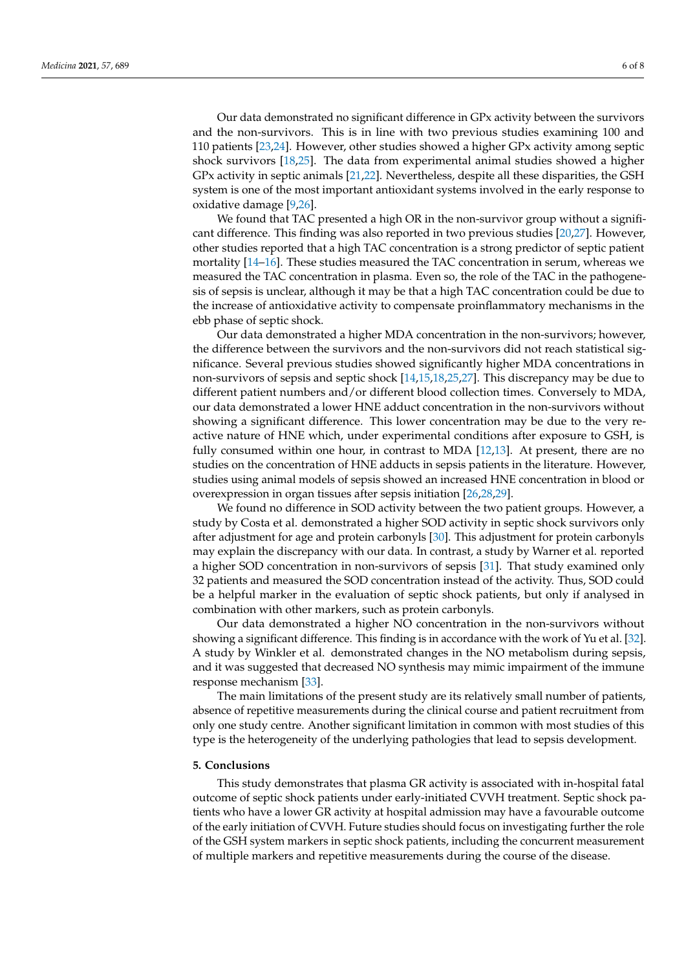Our data demonstrated no significant difference in GPx activity between the survivors and the non-survivors. This is in line with two previous studies examining 100 and 110 patients [\[23,](#page-7-5)[24\]](#page-7-6). However, other studies showed a higher GPx activity among septic shock survivors [\[18](#page-7-0)[,25\]](#page-7-7). The data from experimental animal studies showed a higher GPx activity in septic animals [\[21,](#page-7-3)[22\]](#page-7-4). Nevertheless, despite all these disparities, the GSH system is one of the most important antioxidant systems involved in the early response to oxidative damage [\[9](#page-6-9)[,26\]](#page-7-8).

We found that TAC presented a high OR in the non-survivor group without a significant difference. This finding was also reported in two previous studies [\[20](#page-7-2)[,27\]](#page-7-9). However, other studies reported that a high TAC concentration is a strong predictor of septic patient mortality [\[14–](#page-6-13)[16\]](#page-6-14). These studies measured the TAC concentration in serum, whereas we measured the TAC concentration in plasma. Even so, the role of the TAC in the pathogenesis of sepsis is unclear, although it may be that a high TAC concentration could be due to the increase of antioxidative activity to compensate proinflammatory mechanisms in the ebb phase of septic shock.

Our data demonstrated a higher MDA concentration in the non-survivors; however, the difference between the survivors and the non-survivors did not reach statistical significance. Several previous studies showed significantly higher MDA concentrations in non-survivors of sepsis and septic shock [\[14](#page-6-13)[,15](#page-6-16)[,18](#page-7-0)[,25,](#page-7-7)[27\]](#page-7-9). This discrepancy may be due to different patient numbers and/or different blood collection times. Conversely to MDA, our data demonstrated a lower HNE adduct concentration in the non-survivors without showing a significant difference. This lower concentration may be due to the very reactive nature of HNE which, under experimental conditions after exposure to GSH, is fully consumed within one hour, in contrast to MDA [\[12,](#page-6-11)[13\]](#page-6-12). At present, there are no studies on the concentration of HNE adducts in sepsis patients in the literature. However, studies using animal models of sepsis showed an increased HNE concentration in blood or overexpression in organ tissues after sepsis initiation [\[26,](#page-7-8)[28,](#page-7-10)[29\]](#page-7-11).

We found no difference in SOD activity between the two patient groups. However, a study by Costa et al. demonstrated a higher SOD activity in septic shock survivors only after adjustment for age and protein carbonyls [\[30\]](#page-7-12). This adjustment for protein carbonyls may explain the discrepancy with our data. In contrast, a study by Warner et al. reported a higher SOD concentration in non-survivors of sepsis [\[31\]](#page-7-13). That study examined only 32 patients and measured the SOD concentration instead of the activity. Thus, SOD could be a helpful marker in the evaluation of septic shock patients, but only if analysed in combination with other markers, such as protein carbonyls.

Our data demonstrated a higher NO concentration in the non-survivors without showing a significant difference. This finding is in accordance with the work of Yu et al. [\[32\]](#page-7-14). A study by Winkler et al. demonstrated changes in the NO metabolism during sepsis, and it was suggested that decreased NO synthesis may mimic impairment of the immune response mechanism [\[33\]](#page-7-15).

The main limitations of the present study are its relatively small number of patients, absence of repetitive measurements during the clinical course and patient recruitment from only one study centre. Another significant limitation in common with most studies of this type is the heterogeneity of the underlying pathologies that lead to sepsis development.

# **5. Conclusions**

This study demonstrates that plasma GR activity is associated with in-hospital fatal outcome of septic shock patients under early-initiated CVVH treatment. Septic shock patients who have a lower GR activity at hospital admission may have a favourable outcome of the early initiation of CVVH. Future studies should focus on investigating further the role of the GSH system markers in septic shock patients, including the concurrent measurement of multiple markers and repetitive measurements during the course of the disease.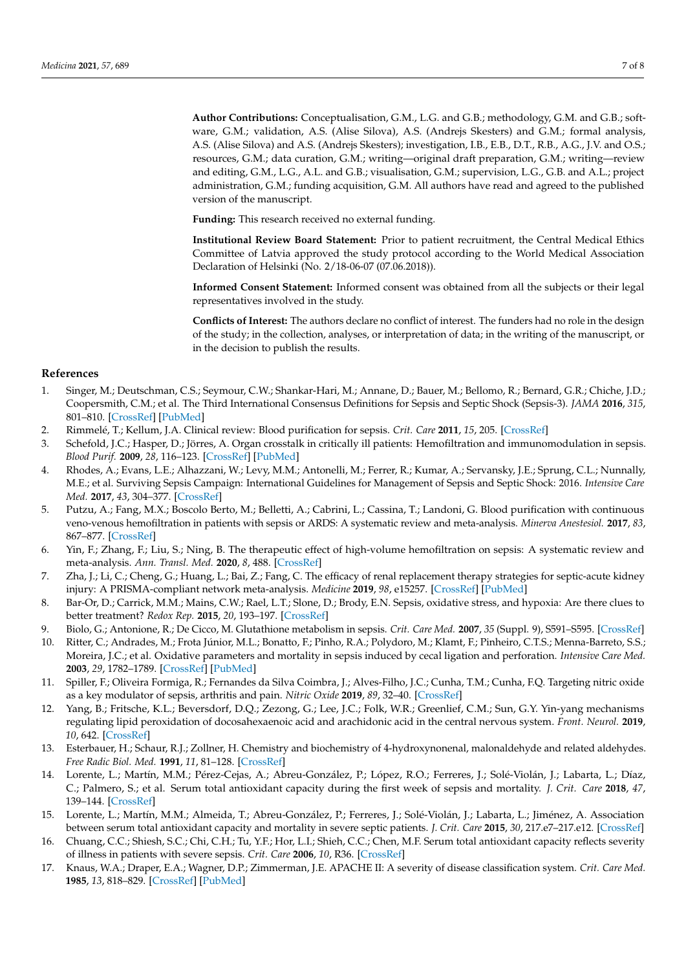**Author Contributions:** Conceptualisation, G.M., L.G. and G.B.; methodology, G.M. and G.B.; software, G.M.; validation, A.S. (Alise Silova), A.S. (Andrejs Skesters) and G.M.; formal analysis, A.S. (Alise Silova) and A.S. (Andrejs Skesters); investigation, I.B., E.B., D.T., R.B., A.G., J.V. and O.S.; resources, G.M.; data curation, G.M.; writing—original draft preparation, G.M.; writing—review and editing, G.M., L.G., A.L. and G.B.; visualisation, G.M.; supervision, L.G., G.B. and A.L.; project administration, G.M.; funding acquisition, G.M. All authors have read and agreed to the published version of the manuscript.

**Funding:** This research received no external funding.

**Institutional Review Board Statement:** Prior to patient recruitment, the Central Medical Ethics Committee of Latvia approved the study protocol according to the World Medical Association Declaration of Helsinki (No. 2/18-06-07 (07.06.2018)).

**Informed Consent Statement:** Informed consent was obtained from all the subjects or their legal representatives involved in the study.

**Conflicts of Interest:** The authors declare no conflict of interest. The funders had no role in the design of the study; in the collection, analyses, or interpretation of data; in the writing of the manuscript, or in the decision to publish the results.

## **References**

- <span id="page-6-0"></span>1. Singer, M.; Deutschman, C.S.; Seymour, C.W.; Shankar-Hari, M.; Annane, D.; Bauer, M.; Bellomo, R.; Bernard, G.R.; Chiche, J.D.; Coopersmith, C.M.; et al. The Third International Consensus Definitions for Sepsis and Septic Shock (Sepsis-3). *JAMA* **2016**, *315*, 801–810. [\[CrossRef\]](http://doi.org/10.1001/jama.2016.0287) [\[PubMed\]](http://www.ncbi.nlm.nih.gov/pubmed/26903338)
- <span id="page-6-1"></span>2. Rimmelé, T.; Kellum, J.A. Clinical review: Blood purification for sepsis. *Crit. Care* **2011**, *15*, 205. [\[CrossRef\]](http://doi.org/10.1186/cc9411)
- <span id="page-6-2"></span>3. Schefold, J.C.; Hasper, D.; Jörres, A. Organ crosstalk in critically ill patients: Hemofiltration and immunomodulation in sepsis. *Blood Purif.* **2009**, *28*, 116–123. [\[CrossRef\]](http://doi.org/10.1159/000223361) [\[PubMed\]](http://www.ncbi.nlm.nih.gov/pubmed/19506367)
- <span id="page-6-3"></span>4. Rhodes, A.; Evans, L.E.; Alhazzani, W.; Levy, M.M.; Antonelli, M.; Ferrer, R.; Kumar, A.; Servansky, J.E.; Sprung, C.L.; Nunnally, M.E.; et al. Surviving Sepsis Campaign: International Guidelines for Management of Sepsis and Septic Shock: 2016. *Intensive Care Med.* **2017**, *43*, 304–377. [\[CrossRef\]](http://doi.org/10.1007/s00134-017-4683-6)
- <span id="page-6-4"></span>5. Putzu, A.; Fang, M.X.; Boscolo Berto, M.; Belletti, A.; Cabrini, L.; Cassina, T.; Landoni, G. Blood purification with continuous veno-venous hemofiltration in patients with sepsis or ARDS: A systematic review and meta-analysis. *Minerva Anestesiol.* **2017**, *83*, 867–877. [\[CrossRef\]](http://doi.org/10.23736/S0375-9393.17.11946-2)
- <span id="page-6-5"></span>6. Yin, F.; Zhang, F.; Liu, S.; Ning, B. The therapeutic effect of high-volume hemofiltration on sepsis: A systematic review and meta-analysis. *Ann. Transl. Med.* **2020**, *8*, 488. [\[CrossRef\]](http://doi.org/10.21037/atm.2020.03.48)
- <span id="page-6-6"></span>7. Zha, J.; Li, C.; Cheng, G.; Huang, L.; Bai, Z.; Fang, C. The efficacy of renal replacement therapy strategies for septic-acute kidney injury: A PRISMA-compliant network meta-analysis. *Medicine* **2019**, *98*, e15257. [\[CrossRef\]](http://doi.org/10.1097/MD.0000000000015257) [\[PubMed\]](http://www.ncbi.nlm.nih.gov/pubmed/31008965)
- <span id="page-6-7"></span>8. Bar-Or, D.; Carrick, M.M.; Mains, C.W.; Rael, L.T.; Slone, D.; Brody, E.N. Sepsis, oxidative stress, and hypoxia: Are there clues to better treatment? *Redox Rep.* **2015**, *20*, 193–197. [\[CrossRef\]](http://doi.org/10.1179/1351000215Y.0000000005)
- <span id="page-6-9"></span>9. Biolo, G.; Antonione, R.; De Cicco, M. Glutathione metabolism in sepsis. *Crit. Care Med.* **2007**, *35* (Suppl. 9), S591–S595. [\[CrossRef\]](http://doi.org/10.1097/01.CCM.0000278913.19123.13)
- <span id="page-6-8"></span>10. Ritter, C.; Andrades, M.; Frota Júnior, M.L.; Bonatto, F.; Pinho, R.A.; Polydoro, M.; Klamt, F.; Pinheiro, C.T.S.; Menna-Barreto, S.S.; Moreira, J.C.; et al. Oxidative parameters and mortality in sepsis induced by cecal ligation and perforation. *Intensive Care Med.* **2003**, *29*, 1782–1789. [\[CrossRef\]](http://doi.org/10.1007/s00134-003-1789-9) [\[PubMed\]](http://www.ncbi.nlm.nih.gov/pubmed/12783160)
- <span id="page-6-10"></span>11. Spiller, F.; Oliveira Formiga, R.; Fernandes da Silva Coimbra, J.; Alves-Filho, J.C.; Cunha, T.M.; Cunha, F.Q. Targeting nitric oxide as a key modulator of sepsis, arthritis and pain. *Nitric Oxide* **2019**, *89*, 32–40. [\[CrossRef\]](http://doi.org/10.1016/j.niox.2019.04.011)
- <span id="page-6-11"></span>12. Yang, B.; Fritsche, K.L.; Beversdorf, D.Q.; Zezong, G.; Lee, J.C.; Folk, W.R.; Greenlief, C.M.; Sun, G.Y. Yin-yang mechanisms regulating lipid peroxidation of docosahexaenoic acid and arachidonic acid in the central nervous system. *Front. Neurol.* **2019**, *10*, 642. [\[CrossRef\]](http://doi.org/10.3389/fneur.2019.00642)
- <span id="page-6-12"></span>13. Esterbauer, H.; Schaur, R.J.; Zollner, H. Chemistry and biochemistry of 4-hydroxynonenal, malonaldehyde and related aldehydes. *Free Radic Biol. Med.* **1991**, *11*, 81–128. [\[CrossRef\]](http://doi.org/10.1016/0891-5849(91)90192-6)
- <span id="page-6-13"></span>14. Lorente, L.; Martín, M.M.; Pérez-Cejas, A.; Abreu-González, P.; López, R.O.; Ferreres, J.; Solé-Violán, J.; Labarta, L.; Díaz, C.; Palmero, S.; et al. Serum total antioxidant capacity during the first week of sepsis and mortality. *J. Crit. Care* **2018**, *47*, 139–144. [\[CrossRef\]](http://doi.org/10.1016/j.jcrc.2018.06.025)
- <span id="page-6-16"></span>15. Lorente, L.; Martín, M.M.; Almeida, T.; Abreu-González, P.; Ferreres, J.; Solé-Violán, J.; Labarta, L.; Jiménez, A. Association between serum total antioxidant capacity and mortality in severe septic patients. *J. Crit. Care* **2015**, *30*, 217.e7–217.e12. [\[CrossRef\]](http://doi.org/10.1016/j.jcrc.2015.05.012)
- <span id="page-6-14"></span>16. Chuang, C.C.; Shiesh, S.C.; Chi, C.H.; Tu, Y.F.; Hor, L.I.; Shieh, C.C.; Chen, M.F. Serum total antioxidant capacity reflects severity of illness in patients with severe sepsis. *Crit. Care* **2006**, *10*, R36. [\[CrossRef\]](http://doi.org/10.1186/cc4826)
- <span id="page-6-15"></span>17. Knaus, W.A.; Draper, E.A.; Wagner, D.P.; Zimmerman, J.E. APACHE II: A severity of disease classification system. *Crit. Care Med.* **1985**, *13*, 818–829. [\[CrossRef\]](http://doi.org/10.1097/00003246-198510000-00009) [\[PubMed\]](http://www.ncbi.nlm.nih.gov/pubmed/3928249)